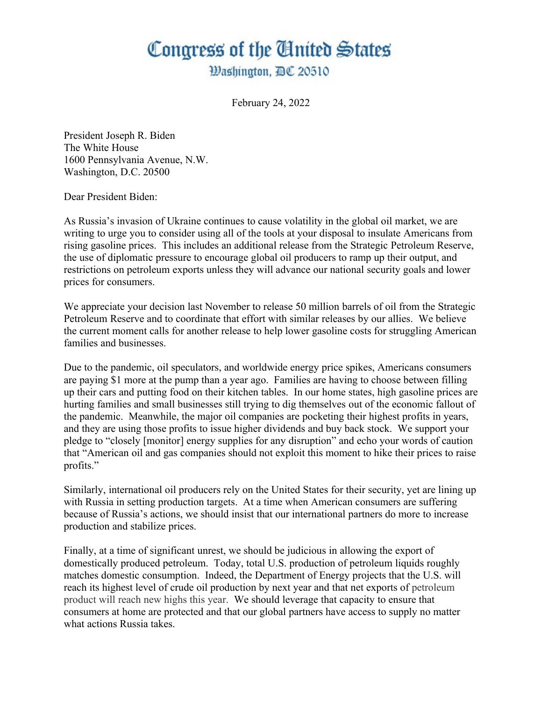## Congress of the United States

*Washington, BC 20510* 

February 24, 2022

President Joseph R. Biden The White House 1600 Pennsylvania Avenue, N.W. Washington, D.C. 20500

Dear President Biden:

As Russia's invasion of Ukraine continues to cause volatility in the global oil market, we are writing to urge you to consider using all of the tools at your disposal to insulate Americans from rising gasoline prices. This includes an additional release from the Strategic Petroleum Reserve, the use of diplomatic pressure to encourage global oil producers to ramp up their output, and restrictions on petroleum exports unless they will advance our national security goals and lower prices for consumers.

We appreciate your decision last November to release 50 million barrels of oil from the Strategic Petroleum Reserve and to coordinate that effort with similar releases by our allies. We believe the current moment calls for another release to help lower gasoline costs for struggling American families and businesses.

Due to the pandemic, oil speculators, and worldwide energy price spikes, Americans consumers are paying \$1 more at the pump than a year ago. Families are having to choose between filling up their cars and putting food on their kitchen tables. In our home states, high gasoline prices are hurting families and small businesses still trying to dig themselves out of the economic fallout of the pandemic. Meanwhile, the major oil companies are pocketing their highest profits in years, and they are using those profits to issue higher dividends and buy back stock. We support your pledge to "closely [monitor] energy supplies for any disruption" and echo your words of caution that "American oil and gas companies should not exploit this moment to hike their prices to raise profits."

Similarly, international oil producers rely on the United States for their security, yet are lining up with Russia in setting production targets. At a time when American consumers are suffering because of Russia's actions, we should insist that our international partners do more to increase production and stabilize prices.

Finally, at a time of significant unrest, we should be judicious in allowing the export of domestically produced petroleum. Today, total U.S. production of petroleum liquids roughly matches domestic consumption. Indeed, the Department of Energy projects that the U.S. will reach its highest level of crude oil production by next year and that net exports of petroleum product will reach new highs this year. We should leverage that capacity to ensure that consumers at home are protected and that our global partners have access to supply no matter what actions Russia takes.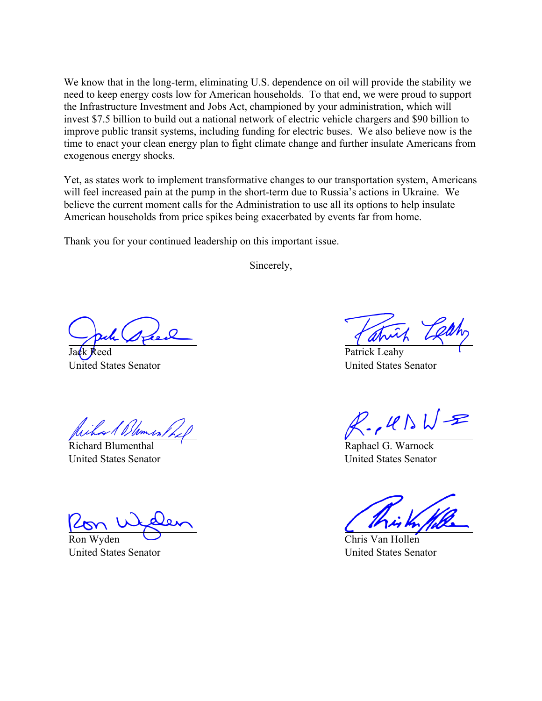We know that in the long-term, eliminating U.S. dependence on oil will provide the stability we need to keep energy costs low for American households. To that end, we were proud to support the Infrastructure Investment and Jobs Act, championed by your administration, which will invest \$7.5 billion to build out a national network of electric vehicle chargers and \$90 billion to improve public transit systems, including funding for electric buses. We also believe now is the time to enact your clean energy plan to fight climate change and further insulate Americans from exogenous energy shocks.

Yet, as states work to implement transformative changes to our transportation system, Americans will feel increased pain at the pump in the short-term due to Russia's actions in Ukraine. We believe the current moment calls for the Administration to use all its options to help insulate American households from price spikes being exacerbated by events far from home.

Thank you for your continued leadership on this important issue.

Sincerely,

leed United States Senator

Richard Blumenthal United States Senator

Ron Wyden

United States Senator

Patrick Leahy United States Senator

 $P$ ,  $U \wedge W$ =

Raphael G. Warnock United States Senator

Chris Van Hollen United States Senator